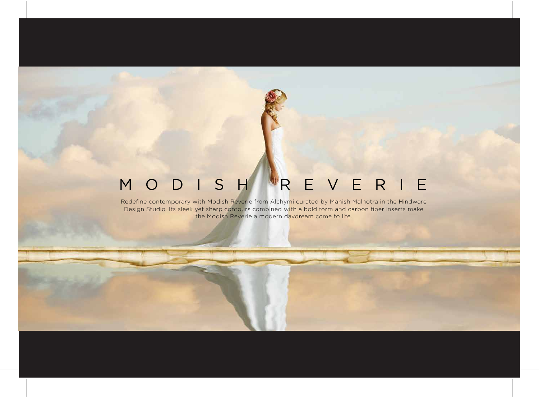## MODISH REVERIE

Redefine contemporary with Modish Reverie from Alchymi curated by Manish Malhotra in the Hindware Design Studio. Its sleek yet sharp contours combined with a bold form and carbon fiber inserts make the Modish Reverie a modern daydream come to life.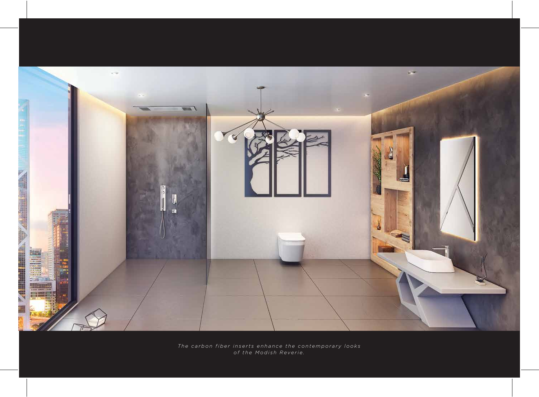

*The carbon fiber inserts enhance the contemporary looks of the Modish Reverie.*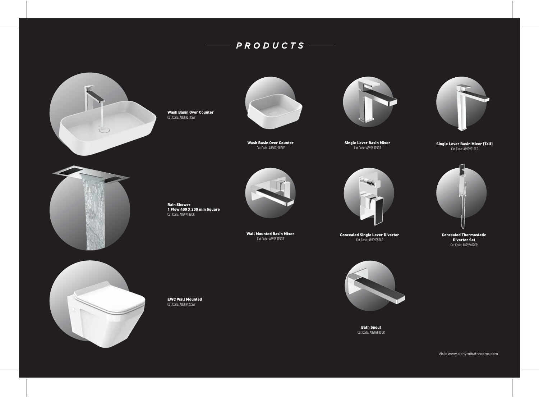## *PRODUCTS*



Wash Basin Over Counter Cat Code: A8809211SW



Wash Basin Over Counter Cat Code: A8809210SW



Single Lever Basin Mixer Cat Code: A8909005CR



Single Lever Basin Mixer (Tall) Cat Code: A8909010CR



Rain Shower 1 Flow 400 X 200 mm Square Cat Code: A8997102CR



Wall Mounted Basin Mixer Cat Code: A8909015CR



Concealed Single Lever Divertor Cat Code: A8909055CR



Concealed Thermostatic Divertor Set Cat Code: A8997402CR



EWC Wall Mounted Cat Code: A8809120SW

Bath Spout Cat Code: A8909035CR

Visit: www.alchymibathrooms.com